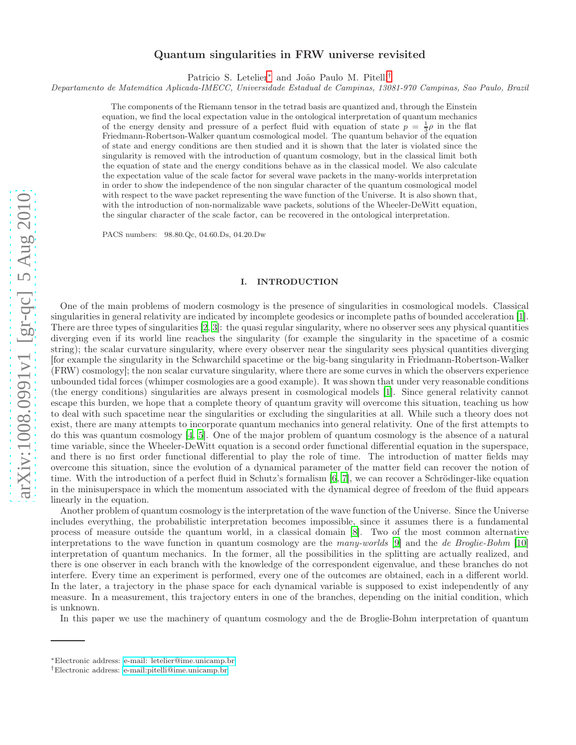# Quantum singularities in FRW universe revisited

Patricio S. Letelier<sup>[∗](#page-0-0)</sup> and João Paulo M. Pitelli[†](#page-0-1)

Departamento de Matemática Aplicada-IMECC, Universidade Estadual de Campinas, 13081-970 Campinas, Sao Paulo, Brazi l

The components of the Riemann tensor in the tetrad basis are quantized and, through the Einstein equation, we find the local expectation value in the ontological interpretation of quantum mechanics of the energy density and pressure of a perfect fluid with equation of state  $p = \frac{1}{3}\rho$  in the flat Friedmann-Robertson-Walker quantum cosmological model. The quantum behavior of the equation of state and energy conditions are then studied and it is shown that the later is violated since the singularity is removed with the introduction of quantum cosmology, but in the classical limit both the equation of state and the energy conditions behave as in the classical model. We also calculate the expectation value of the scale factor for several wave packets in the many-worlds interpretation in order to show the independence of the non singular character of the quantum cosmological model with respect to the wave packet representing the wave function of the Universe. It is also shown that, with the introduction of non-normalizable wave packets, solutions of the Wheeler-DeWitt equation, the singular character of the scale factor, can be recovered in the ontological interpretation.

PACS numbers: 98.80.Qc, 04.60.Ds, 04.20.Dw

#### I. INTRODUCTION

One of the main problems of modern cosmology is the presence of singularities in cosmological models. Classical singularities in general relativity are indicated by incomplete geodesics or incomplete paths of bounded acceleration [\[1\]](#page-13-0). There are three types of singularities [\[2,](#page-13-1) [3\]](#page-13-2): the quasi regular singularity, where no observer sees any physical quantities diverging even if its world line reaches the singularity (for example the singularity in the spacetime of a cosmic string); the scalar curvature singularity, where every observer near the singularity sees physical quantities diverging [for example the singularity in the Schwarchild spacetime or the big-bang singularity in Friedmann-Robertson-Walker (FRW) cosmology]; the non scalar curvature singularity, where there are some curves in which the observers experience unbounded tidal forces (whimper cosmologies are a good example). It was shown that under very reasonable conditions (the energy conditions) singularities are always present in cosmological models [\[1](#page-13-0)]. Since general relativity cannot escape this burden, we hope that a complete theory of quantum gravity will overcome this situation, teaching us how to deal with such spacetime near the singularities or excluding the singularities at all. While such a theory does not exist, there are many attempts to incorporate quantum mechanics into general relativity. One of the first attempts to do this was quantum cosmology [\[4,](#page-13-3) [5](#page-13-4)]. One of the major problem of quantum cosmology is the absence of a natural time variable, since the Wheeler-DeWitt equation is a second order functional differential equation in the superspace, and there is no first order functional differential to play the role of time. The introduction of matter fields may overcome this situation, since the evolution of a dynamical parameter of the matter field can recover the notion of time. With the introduction of a perfect fluid in Schutz's formalism [\[6](#page-13-5), [7\]](#page-13-6), we can recover a Schrödinger-like equation in the minisuperspace in which the momentum associated with the dynamical degree of freedom of the fluid appears linearly in the equation.

Another problem of quantum cosmology is the interpretation of the wave function of the Universe. Since the Universe includes everything, the probabilistic interpretation becomes impossible, since it assumes there is a fundamental process of measure outside the quantum world, in a classical domain [\[8\]](#page-13-7). Two of the most common alternative interpretations to the wave function in quantum cosmology are the many-worlds [\[9](#page-13-8)] and the de Broglie-Bohm [\[10](#page-13-9)] interpretation of quantum mechanics. In the former, all the possibilities in the splitting are actually realized, and there is one observer in each branch with the knowledge of the correspondent eigenvalue, and these branches do not interfere. Every time an experiment is performed, every one of the outcomes are obtained, each in a different world. In the later, a trajectory in the phase space for each dynamical variable is supposed to exist independently of any measure. In a measurement, this trajectory enters in one of the branches, depending on the initial condition, which is unknown.

In this paper we use the machinery of quantum cosmology and the de Broglie-Bohm interpretation of quantum

<span id="page-0-0"></span><sup>∗</sup>Electronic address: [e-mail: letelier@ime.unicamp.br](mailto:e-mail: letelier@ime.unicamp.br)

<span id="page-0-1"></span><sup>†</sup>Electronic address: [e-mail:pitelli@ime.unicamp.br](mailto:e-mail:pitelli@ime.unicamp.br)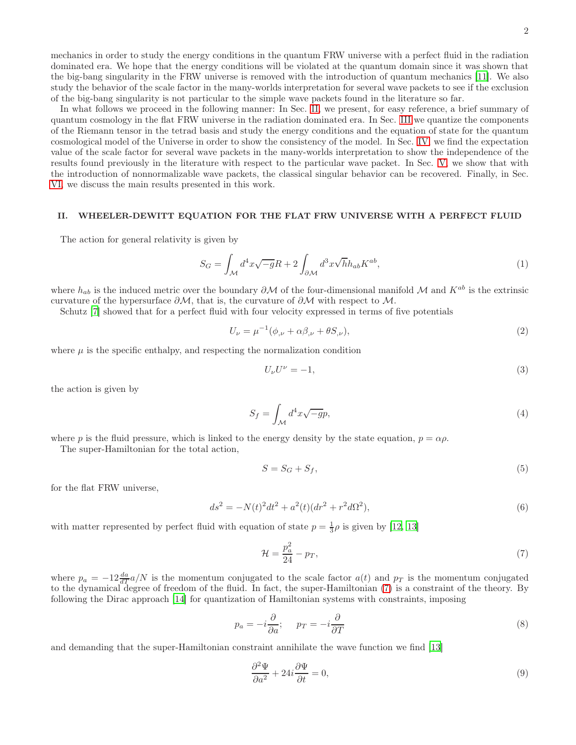mechanics in order to study the energy conditions in the quantum FRW universe with a perfect fluid in the radiation dominated era. We hope that the energy conditions will be violated at the quantum domain since it was shown that the big-bang singularity in the FRW universe is removed with the introduction of quantum mechanics [\[11\]](#page-13-10). We also study the behavior of the scale factor in the many-worlds interpretation for several wave packets to see if the exclusion of the big-bang singularity is not particular to the simple wave packets found in the literature so far.

In what follows we proceed in the following manner: In Sec. [II,](#page-1-0) we present, for easy reference, a brief summary of quantum cosmology in the flat FRW universe in the radiation dominated era. In Sec. [III](#page-2-0) we quantize the components of the Riemann tensor in the tetrad basis and study the energy conditions and the equation of state for the quantum cosmological model of the Universe in order to show the consistency of the model. In Sec. [IV,](#page-9-0) we find the expectation value of the scale factor for several wave packets in the many-worlds interpretation to show the independence of the results found previously in the literature with respect to the particular wave packet. In Sec. [V,](#page-11-0) we show that with the introduction of nonnormalizable wave packets, the classical singular behavior can be recovered. Finally, in Sec. [VI,](#page-13-11) we discuss the main results presented in this work.

## <span id="page-1-0"></span>II. WHEELER-DEWITT EQUATION FOR THE FLAT FRW UNIVERSE WITH A PERFECT FLUID

The action for general relativity is given by

$$
S_G = \int_{\mathcal{M}} d^4x \sqrt{-g}R + 2 \int_{\partial \mathcal{M}} d^3x \sqrt{h} h_{ab} K^{ab}, \tag{1}
$$

where  $h_{ab}$  is the induced metric over the boundary  $\partial M$  of the four-dimensional manifold M and  $K^{ab}$  is the extrinsic curvature of the hypersurface  $\partial \mathcal{M}$ , that is, the curvature of  $\partial \mathcal{M}$  with respect to  $\mathcal{M}$ .

Schutz [\[7\]](#page-13-6) showed that for a perfect fluid with four velocity expressed in terms of five potentials

$$
U_{\nu} = \mu^{-1}(\phi_{,\nu} + \alpha\beta_{,\nu} + \theta S_{,\nu}),\tag{2}
$$

where  $\mu$  is the specific enthalpy, and respecting the normalization condition

$$
U_{\nu}U^{\nu} = -1,\tag{3}
$$

the action is given by

$$
S_f = \int_{\mathcal{M}} d^4x \sqrt{-g}p,\tag{4}
$$

where p is the fluid pressure, which is linked to the energy density by the state equation,  $p = \alpha \rho$ .

The super-Hamiltonian for the total action,

$$
S = S_G + S_f,\tag{5}
$$

for the flat FRW universe,

<span id="page-1-3"></span>
$$
ds^{2} = -N(t)^{2}dt^{2} + a^{2}(t)(dr^{2} + r^{2}d\Omega^{2}),
$$
\n(6)

with matter represented by perfect fluid with equation of state  $p = \frac{1}{3}\rho$  is given by [\[12,](#page-13-12) [13\]](#page-13-13)

<span id="page-1-1"></span>
$$
\mathcal{H} = \frac{p_a^2}{24} - p_T,\tag{7}
$$

where  $p_a = -12 \frac{da}{dT} a/N$  is the momentum conjugated to the scale factor  $a(t)$  and  $p_T$  is the momentum conjugated to the dynamical degree of freedom of the fluid. In fact, the super-Hamiltonian [\(7\)](#page-1-1) is a constraint of the theory. By following the Dirac approach [\[14\]](#page-13-14) for quantization of Hamiltonian systems with constraints, imposing

$$
p_a = -i\frac{\partial}{\partial a}; \quad p_T = -i\frac{\partial}{\partial T}
$$
\n(8)

and demanding that the super-Hamiltonian constraint annihilate the wave function we find [\[13](#page-13-13)]

<span id="page-1-2"></span>
$$
\frac{\partial^2 \Psi}{\partial a^2} + 24i \frac{\partial \Psi}{\partial t} = 0,\tag{9}
$$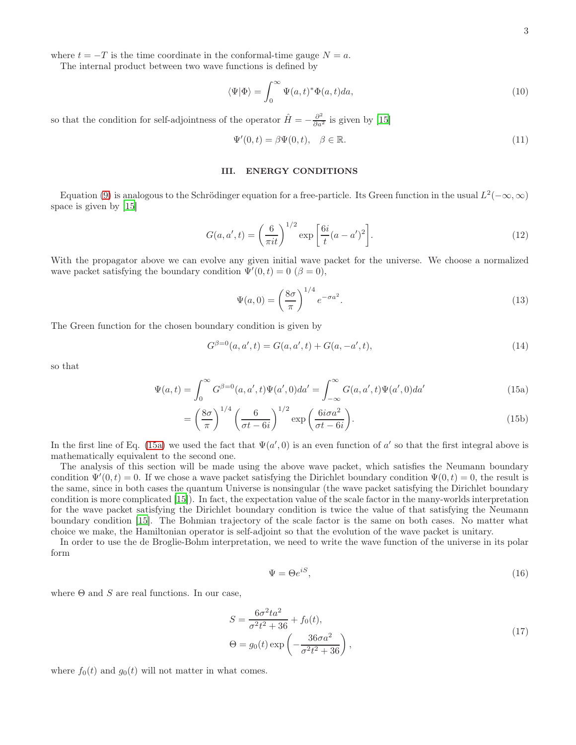where  $t = -T$  is the time coordinate in the conformal-time gauge  $N = a$ .

The internal product between two wave functions is defined by

$$
\langle \Psi | \Phi \rangle = \int_0^\infty \Psi(a, t)^* \Phi(a, t) da,\tag{10}
$$

so that the condition for self-adjointness of the operator  $\hat{H} = -\frac{\partial^2}{\partial a^2}$  is given by [\[15\]](#page-13-15)

<span id="page-2-3"></span>
$$
\Psi'(0,t) = \beta \Psi(0,t), \quad \beta \in \mathbb{R}.\tag{11}
$$

# <span id="page-2-0"></span>III. ENERGY CONDITIONS

Equation [\(9\)](#page-1-2) is analogous to the Schrödinger equation for a free-particle. Its Green function in the usual  $L^2(-\infty, \infty)$ space is given by [\[15](#page-13-15)]

<span id="page-2-4"></span>
$$
G(a, a', t) = \left(\frac{6}{\pi i t}\right)^{1/2} \exp\left[\frac{6i}{t}(a - a')^2\right].
$$
\n(12)

With the propagator above we can evolve any given initial wave packet for the universe. We choose a normalized wave packet satisfying the boundary condition  $\Psi'(0,t) = 0 \; (\beta = 0),$ 

<span id="page-2-1"></span>
$$
\Psi(a,0) = \left(\frac{8\sigma}{\pi}\right)^{1/4} e^{-\sigma a^2}.
$$
\n(13)

The Green function for the chosen boundary condition is given by

$$
G^{\beta=0}(a, a', t) = G(a, a', t) + G(a, -a', t),
$$
\n(14)

so that

$$
\Psi(a,t) = \int_0^\infty G^{\beta=0}(a,a',t)\Psi(a',0)da' = \int_{-\infty}^\infty G(a,a',t)\Psi(a',0)da'
$$
\n(15a)

$$
= \left(\frac{8\sigma}{\pi}\right)^{1/4} \left(\frac{6}{\sigma t - 6i}\right)^{1/2} \exp\left(\frac{6i\sigma a^2}{\sigma t - 6i}\right).
$$
 (15b)

In the first line of Eq. [\(15a\)](#page-2-1) we used the fact that  $\Psi(a', 0)$  is an even function of a' so that the first integral above is mathematically equivalent to the second one.

The analysis of this section will be made using the above wave packet, which satisfies the Neumann boundary condition  $\Psi'(0,t) = 0$ . If we chose a wave packet satisfying the Dirichlet boundary condition  $\Psi(0,t) = 0$ , the result is the same, since in both cases the quantum Universe is nonsingular (the wave packet satisfying the Dirichlet boundary condition is more complicated [\[15\]](#page-13-15)). In fact, the expectation value of the scale factor in the many-worlds interpretation for the wave packet satisfying the Dirichlet boundary condition is twice the value of that satisfying the Neumann boundary condition [\[15\]](#page-13-15). The Bohmian trajectory of the scale factor is the same on both cases. No matter what choice we make, the Hamiltonian operator is self-adjoint so that the evolution of the wave packet is unitary.

In order to use the de Broglie-Bohm interpretation, we need to write the wave function of the universe in its polar form

<span id="page-2-5"></span>
$$
\Psi = \Theta e^{iS},\tag{16}
$$

where  $\Theta$  and  $S$  are real functions. In our case,

<span id="page-2-2"></span>
$$
S = \frac{6\sigma^2 ta^2}{\sigma^2 t^2 + 36} + f_0(t),
$$
  
\n
$$
\Theta = g_0(t) \exp\left(-\frac{36\sigma a^2}{\sigma^2 t^2 + 36}\right),
$$
\n(17)

where  $f_0(t)$  and  $g_0(t)$  will not matter in what comes.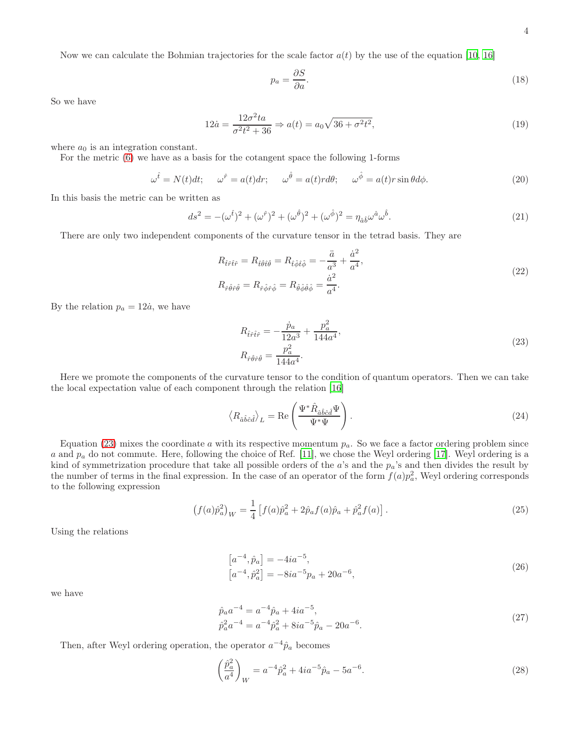Now we can calculate the Bohmian trajectories for the scale factor  $a(t)$  by the use of the equation [\[10,](#page-13-9) [16\]](#page-13-16)

<span id="page-3-1"></span>
$$
p_a = \frac{\partial S}{\partial a}.\tag{18}
$$

So we have

$$
12\dot{a} = \frac{12\sigma^2 t a}{\sigma^2 t^2 + 36} \Rightarrow a(t) = a_0 \sqrt{36 + \sigma^2 t^2},\tag{19}
$$

where  $a_0$  is an integration constant.

For the metric [\(6\)](#page-1-3) we have as a basis for the cotangent space the following 1-forms

$$
\omega^{\hat{t}} = N(t)dt; \qquad \omega^{\hat{r}} = a(t)dr; \qquad \omega^{\hat{\theta}} = a(t)rd\theta; \qquad \omega^{\hat{\phi}} = a(t)r\sin\theta d\phi. \tag{20}
$$

In this basis the metric can be written as

$$
ds^{2} = -(\omega^{\hat{t}})^{2} + (\omega^{\hat{r}})^{2} + (\omega^{\hat{\theta}})^{2} + (\omega^{\hat{\phi}})^{2} = \eta_{\hat{a}\hat{b}}\omega^{\hat{a}}\omega^{\hat{b}}.
$$
\n(21)

There are only two independent components of the curvature tensor in the tetrad basis. They are

$$
R_{\hat{t}\hat{r}\hat{t}\hat{r}} = R_{\hat{t}\hat{\theta}\hat{t}\hat{\theta}} = R_{\hat{t}\hat{\phi}\hat{t}\hat{\phi}} = -\frac{\ddot{a}}{a^3} + \frac{\dot{a}^2}{a^4},
$$
  
\n
$$
R_{\hat{r}\hat{\theta}\hat{r}\hat{\theta}} = R_{\hat{r}\hat{\phi}\hat{r}\hat{\phi}} = R_{\hat{\theta}\hat{\phi}\hat{\theta}\hat{\phi}} = \frac{\dot{a}^2}{a^4}.
$$
\n(22)

By the relation  $p_a = 12\dot{a}$ , we have

<span id="page-3-0"></span>
$$
R_{\hat{t}\hat{r}\hat{t}\hat{r}} = -\frac{\dot{p}_a}{12a^3} + \frac{p_a^2}{144a^4},
$$
  
\n
$$
R_{\hat{r}\hat{\theta}\hat{r}\hat{\theta}} = \frac{p_a^2}{144a^4}.
$$
\n(23)

Here we promote the components of the curvature tensor to the condition of quantum operators. Then we can take the local expectation value of each component through the relation [\[16\]](#page-13-16)

$$
\langle R_{\hat{a}\hat{b}\hat{c}\hat{d}} \rangle_L = \text{Re}\left(\frac{\Psi^* \hat{R}_{\hat{a}\hat{b}\hat{c}\hat{d}} \Psi}{\Psi^* \Psi}\right). \tag{24}
$$

Equation [\(23\)](#page-3-0) mixes the coordinate a with its respective momentum  $p_a$ . So we face a factor ordering problem since a and  $p_a$  do not commute. Here, following the choice of Ref. [\[11](#page-13-10)], we chose the Weyl ordering [\[17\]](#page-14-0). Weyl ordering is a kind of symmetrization procedure that take all possible orders of the  $a$ 's and the  $p_a$ 's and then divides the result by the number of terms in the final expression. In the case of an operator of the form  $f(a)p_a^2$ , Weyl ordering corresponds to the following expression

$$
\left(f(a)\hat{p}_a^2\right)_W = \frac{1}{4} \left[f(a)\hat{p}_a^2 + 2\hat{p}_a f(a)\hat{p}_a + \hat{p}_a^2 f(a)\right].\tag{25}
$$

Using the relations

$$
[a^{-4}, \hat{p}_a] = -4ia^{-5},
$$
  
\n
$$
[a^{-4}, \hat{p}_a^2] = -8ia^{-5}p_a + 20a^{-6},
$$
\n(26)

we have

$$
\hat{p}_a a^{-4} = a^{-4} \hat{p}_a + 4ia^{-5}, \n\hat{p}_a^2 a^{-4} = a^{-4} \hat{p}_a^2 + 8ia^{-5} \hat{p}_a - 20a^{-6}.
$$
\n(27)

Then, after Weyl ordering operation, the operator  $a^{-4}\hat{p}_a$  becomes

$$
\left(\frac{\hat{p}_a^2}{a^4}\right)_W = a^{-4}\hat{p}_a^2 + 4ia^{-5}\hat{p}_a - 5a^{-6}.\tag{28}
$$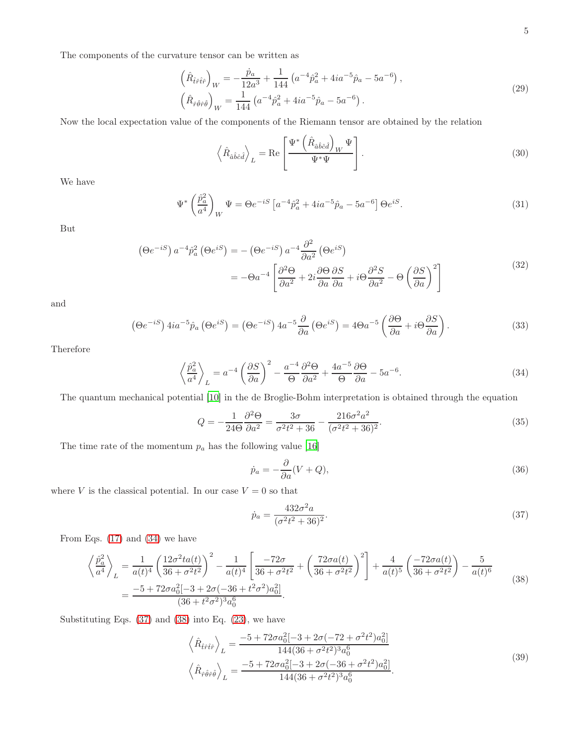The components of the curvature tensor can be written as

$$
\left(\hat{R}_{\hat{t}\hat{r}\hat{t}\hat{r}}\right)_W = -\frac{\dot{p}_a}{12a^3} + \frac{1}{144} \left(a^{-4}\hat{p}_a^2 + 4ia^{-5}\hat{p}_a - 5a^{-6}\right),
$$
\n
$$
\left(\hat{R}_{\hat{r}\hat{\theta}\hat{r}\hat{\theta}}\right)_W = \frac{1}{144} \left(a^{-4}\hat{p}_a^2 + 4ia^{-5}\hat{p}_a - 5a^{-6}\right).
$$
\n(29)

Now the local expectation value of the components of the Riemann tensor are obtained by the relation

$$
\left\langle \hat{R}_{\hat{a}\hat{b}\hat{c}\hat{d}} \right\rangle_{L} = \text{Re}\left[\frac{\Psi^* \left(\hat{R}_{\hat{a}\hat{b}\hat{c}\hat{d}}\right)_W \Psi}{\Psi^* \Psi}\right].\tag{30}
$$

We have

$$
\Psi^* \left(\frac{\hat{p}_a^2}{a^4}\right)_W \Psi = \Theta e^{-iS} \left[ a^{-4} \hat{p}_a^2 + 4ia^{-5} \hat{p}_a - 5a^{-6} \right] \Theta e^{iS}.
$$
\n(31)

But

$$
\left(\Theta e^{-iS}\right)a^{-4}\hat{p}_a^2\left(\Theta e^{iS}\right) = -\left(\Theta e^{-iS}\right)a^{-4}\frac{\partial^2}{\partial a^2}\left(\Theta e^{iS}\right)
$$

$$
= -\Theta a^{-4}\left[\frac{\partial^2 \Theta}{\partial a^2} + 2i\frac{\partial \Theta}{\partial a}\frac{\partial S}{\partial a} + i\Theta \frac{\partial^2 S}{\partial a^2} - \Theta \left(\frac{\partial S}{\partial a}\right)^2\right]
$$
(32)

and

$$
\left(\Theta e^{-iS}\right)4ia^{-5}\hat{p}_a\left(\Theta e^{iS}\right) = \left(\Theta e^{-iS}\right)4a^{-5}\frac{\partial}{\partial a}\left(\Theta e^{iS}\right) = 4\Theta a^{-5}\left(\frac{\partial\Theta}{\partial a} + i\Theta\frac{\partial S}{\partial a}\right). \tag{33}
$$

Therefore

<span id="page-4-0"></span>
$$
\left\langle \frac{\hat{p}_a^2}{a^4} \right\rangle_L = a^{-4} \left( \frac{\partial S}{\partial a} \right)^2 - \frac{a^{-4}}{\Theta} \frac{\partial^2 \Theta}{\partial a^2} + \frac{4a^{-5}}{\Theta} \frac{\partial \Theta}{\partial a} - 5a^{-6}.
$$
 (34)

The quantum mechanical potential [\[10\]](#page-13-9) in the de Broglie-Bohm interpretation is obtained through the equation

$$
Q = -\frac{1}{24\Theta} \frac{\partial^2 \Theta}{\partial a^2} = \frac{3\sigma}{\sigma^2 t^2 + 36} - \frac{216\sigma^2 a^2}{(\sigma^2 t^2 + 36)^2}.
$$
 (35)

The time rate of the momentum  $p_a$  has the following value [\[16\]](#page-13-16)

$$
\dot{p}_a = -\frac{\partial}{\partial a}(V + Q),\tag{36}
$$

where V is the classical potential. In our case  $V = 0$  so that

<span id="page-4-1"></span>
$$
\dot{p}_a = \frac{432\sigma^2 a}{(\sigma^2 t^2 + 36)^2}.\tag{37}
$$

From Eqs. [\(17\)](#page-2-2) and [\(34\)](#page-4-0) we have

<span id="page-4-2"></span>
$$
\left\langle \frac{\hat{p}_a^2}{a^4} \right\rangle_L = \frac{1}{a(t)^4} \left( \frac{12\sigma^2 ta(t)}{36 + \sigma^2 t^2} \right)^2 - \frac{1}{a(t)^4} \left[ \frac{-72\sigma}{36 + \sigma^2 t^2} + \left( \frac{72\sigma a(t)}{36 + \sigma^2 t^2} \right)^2 \right] + \frac{4}{a(t)^5} \left( \frac{-72\sigma a(t)}{36 + \sigma^2 t^2} \right) - \frac{5}{a(t)^6}
$$
\n
$$
= \frac{-5 + 72\sigma a_0^2 [-3 + 2\sigma(-36 + t^2\sigma^2)a_0^2]}{(36 + t^2\sigma^2)^3 a_0^6}.
$$
\n(38)

Substituting Eqs.  $(37)$  and  $(38)$  into Eq.  $(23)$ , we have

$$
\left\langle \hat{R}_{\hat{t}\hat{r}\hat{t}\hat{r}} \right\rangle_{L} = \frac{-5 + 72\sigma a_0^2 [-3 + 2\sigma (-72 + \sigma^2 t^2) a_0^2]}{144(36 + \sigma^2 t^2)^3 a_0^6} \n\left\langle \hat{R}_{\hat{r}\hat{\theta}\hat{r}\hat{\theta}} \right\rangle_{L} = \frac{-5 + 72\sigma a_0^2 [-3 + 2\sigma (-36 + \sigma^2 t^2) a_0^2]}{144(36 + \sigma^2 t^2)^3 a_0^6}.
$$
\n(39)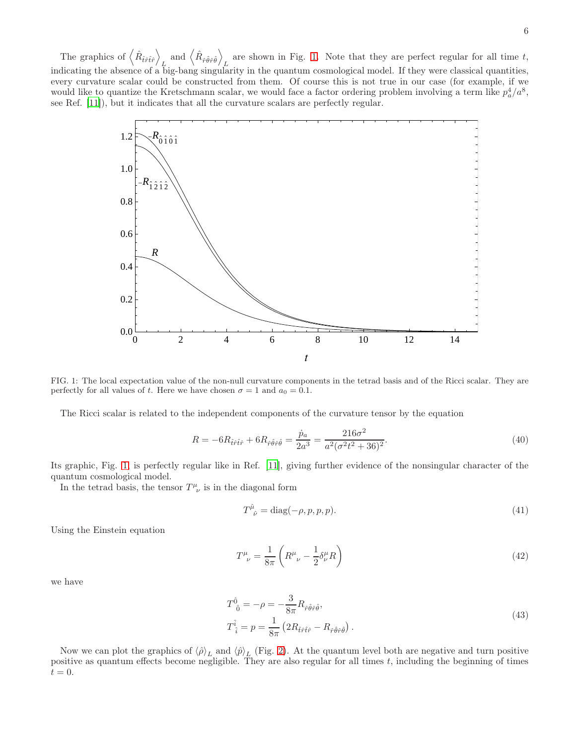6

The graphics of  $\left\langle \hat{R}_{\hat{t}\hat{r}\hat{t}\hat{r}}\right\rangle$  $L_{\mu\nu}$  and  $\left\langle \hat{R}_{\hat{r}\hat{\theta}\hat{r}\hat{\theta}}\right\rangle$ are shown in Fig. [1.](#page-5-0) Note that they are perfect regular for all time  $t$ , indicating the absence of a big-bang singularity in the quantum cosmological model. If they were classical quantities, every curvature scalar could be constructed from them. Of course this is not true in our case (for example, if we would like to quantize the Kretschmann scalar, we would face a factor ordering problem involving a term like  $p_a^4/a^8$ , see Ref. [\[11\]](#page-13-10)), but it indicates that all the curvature scalars are perfectly regular.



<span id="page-5-0"></span>FIG. 1: The local expectation value of the non-null curvature components in the tetrad basis and of the Ricci scalar. They are perfectly for all values of t. Here we have chosen  $\sigma = 1$  and  $a_0 = 0.1$ .

The Ricci scalar is related to the independent components of the curvature tensor by the equation

$$
R = -6R_{\hat{t}\hat{r}\hat{t}\hat{r}} + 6R_{\hat{r}\hat{\theta}\hat{r}\hat{\theta}} = \frac{\dot{p}_a}{2a^3} = \frac{216\sigma^2}{a^2(\sigma^2 t^2 + 36)^2}.
$$
\n(40)

Its graphic, Fig. [1,](#page-5-0) is perfectly regular like in Ref. [\[11](#page-13-10)], giving further evidence of the nonsingular character of the quantum cosmological model.

In the tetrad basis, the tensor  $T^{\mu}_{\ \nu}$  is in the diagonal form

<span id="page-5-1"></span>
$$
T^{\hat{\mu}}_{\ \hat{\nu}} = \text{diag}(-\rho, p, p, p). \tag{41}
$$

Using the Einstein equation

$$
T^{\mu}_{\ \nu} = \frac{1}{8\pi} \left( R^{\mu}_{\ \nu} - \frac{1}{2} \delta^{\mu}_{\nu} R \right) \tag{42}
$$

we have

$$
T^{\hat{0}}_{\ \hat{0}} = -\rho = -\frac{3}{8\pi} R_{\hat{r}\hat{\theta}\hat{r}\hat{\theta}},
$$
  

$$
T^{\hat{i}}_{\ \hat{i}} = p = \frac{1}{8\pi} \left( 2R_{\hat{t}\hat{r}\hat{t}\hat{r}} - R_{\hat{r}\hat{\theta}\hat{r}\hat{\theta}} \right).
$$
 (43)

Now we can plot the graphics of  $\langle \hat{\rho} \rangle_L$  and  $\langle \hat{p} \rangle_L$  (Fig. [2\)](#page-6-0). At the quantum level both are negative and turn positive positive as quantum effects become negligible. They are also regular for all times  $t$ , including the beginning of times  $t = 0.$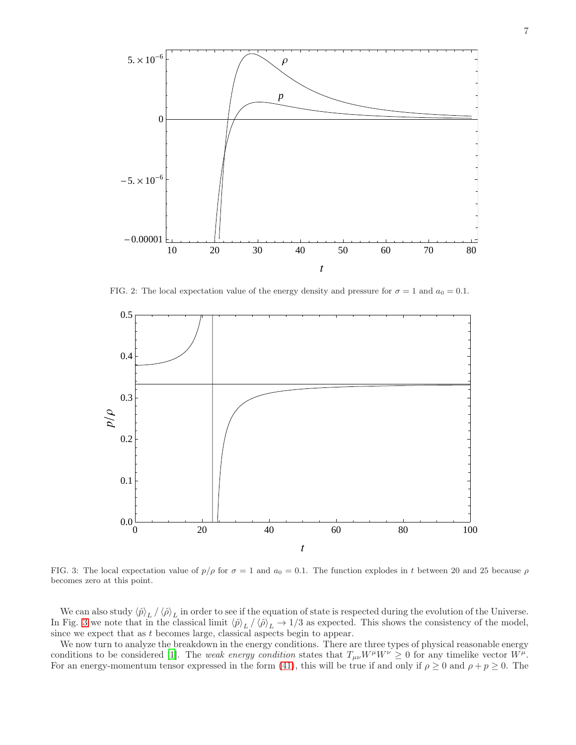

<span id="page-6-0"></span>FIG. 2: The local expectation value of the energy density and pressure for  $\sigma = 1$  and  $a_0 = 0.1$ .



<span id="page-6-1"></span>FIG. 3: The local expectation value of  $p/\rho$  for  $\sigma = 1$  and  $a_0 = 0.1$ . The function explodes in t between 20 and 25 because  $\rho$ becomes zero at this point.

We can also study  $\langle \hat{p} \rangle_L / \langle \hat{\rho} \rangle_L$  in order to see if the equation of state is respected during the evolution of the Universe. In Fig. [3](#page-6-1) we note that in the classical limit  $\langle \hat{p} \rangle_L / \langle \hat{p} \rangle_L \rightarrow 1/3$  as expected. This shows the consistency of the model, since we expect that as t becomes large, classical aspects begin to appear.

We now turn to analyze the breakdown in the energy conditions. There are three types of physical reasonable energy conditions to be considered [\[1\]](#page-13-0). The weak energy condition states that  $T_{\mu\nu}W^{\mu}W^{\nu} \ge 0$  for any timelike vector  $W^{\mu}$ . For an energy-momentum tensor expressed in the form [\(41\)](#page-5-1), this will be true if and only if  $\rho \ge 0$  and  $\rho + p \ge 0$ . The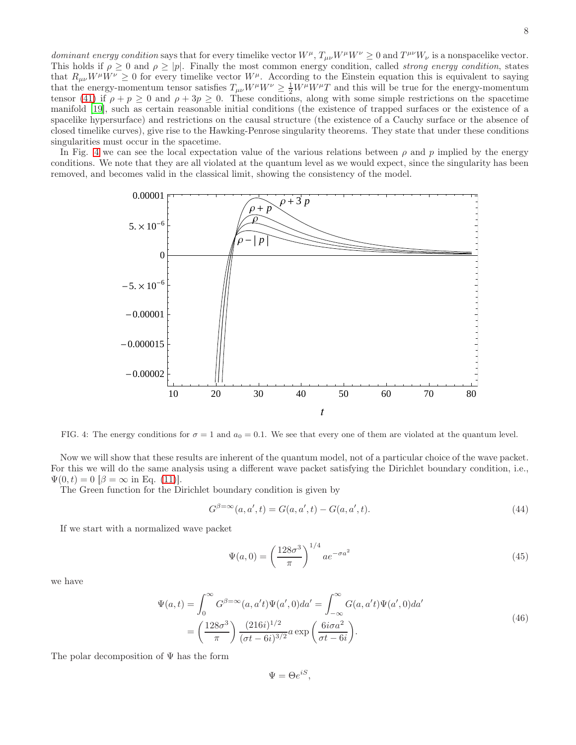dominant energy condition says that for every timelike vector  $W^{\mu}$ ,  $T_{\mu\nu}W^{\mu}W^{\nu} \ge 0$  and  $T^{\mu\nu}W_{\nu}$  is a nonspacelike vector. This holds if  $\rho \geq 0$  and  $\rho \geq |\rho|$ . Finally the most common energy condition, called *strong energy condition*, states that  $R_{\mu\nu}W^{\mu}W^{\nu} \geq 0$  for every timelike vector  $W^{\mu}$ . According to the Einstein equation this is equivalent to saying that the energy-momentum tensor satisfies  $T_{\mu\nu}W^{\mu}W^{\nu} \geq \frac{1}{2}W^{\mu}W^{\mu}T$  and this will be true for the energy-momentum tensor [\(41\)](#page-5-1) if  $\rho + p \ge 0$  and  $\rho + 3p \ge 0$ . These conditions, along with some simple restrictions on the spacetime manifold [19], such as certain reasonable initial conditions (the existence of trapped surfaces or the existence of a spacelike hypersurface) and restrictions on the causal structure (the existence of a Cauchy surface or the absence of closed timelike curves), give rise to the Hawking-Penrose singularity theorems. They state that under these conditions singularities must occur in the spacetime.

In Fig. [4](#page-7-0) we can see the local expectation value of the various relations between  $\rho$  and p implied by the energy conditions. We note that they are all violated at the quantum level as we would expect, since the singularity has been removed, and becomes valid in the classical limit, showing the consistency of the model.



<span id="page-7-0"></span>FIG. 4: The energy conditions for  $\sigma = 1$  and  $a_0 = 0.1$ . We see that every one of them are violated at the quantum level.

Now we will show that these results are inherent of the quantum model, not of a particular choice of the wave packet. For this we will do the same analysis using a different wave packet satisfying the Dirichlet boundary condition, i.e.,  $\Psi(0, t) = 0$   $[\beta = \infty \text{ in Eq. (11)}].$  $[\beta = \infty \text{ in Eq. (11)}].$  $[\beta = \infty \text{ in Eq. (11)}].$ 

The Green function for the Dirichlet boundary condition is given by

$$
G^{\beta = \infty}(a, a', t) = G(a, a', t) - G(a, a', t).
$$
\n(44)

If we start with a normalized wave packet

$$
\Psi(a,0) = \left(\frac{128\sigma^3}{\pi}\right)^{1/4} a e^{-\sigma a^2}
$$
\n(45)

we have

$$
\Psi(a,t) = \int_0^\infty G^{\beta=\infty}(a,a't)\Psi(a',0)da' = \int_{-\infty}^\infty G(a,a't)\Psi(a',0)da'
$$

$$
= \left(\frac{128\sigma^3}{\pi}\right)\frac{(216i)^{1/2}}{(\sigma t - 6i)^{3/2}}a\exp\left(\frac{6i\sigma a^2}{\sigma t - 6i}\right).
$$
\n(46)

The polar decomposition of  $\Psi$  has the form

 $\Psi = \Theta e^{iS},$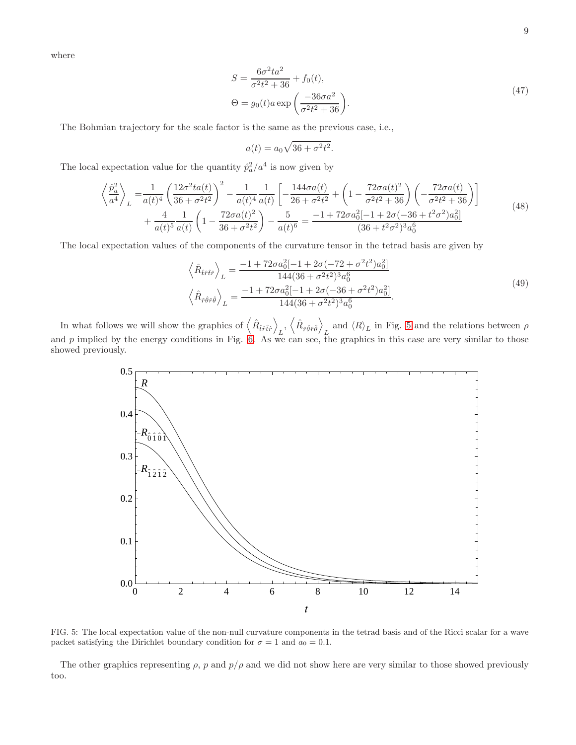where

$$
S = \frac{6\sigma^2 t a^2}{\sigma^2 t^2 + 36} + f_0(t),
$$
  
\n
$$
\Theta = g_0(t) a \exp\left(\frac{-36\sigma a^2}{\sigma^2 t^2 + 36}\right).
$$
\n(47)

The Bohmian trajectory for the scale factor is the same as the previous case, i.e.,

$$
a(t) = a_0 \sqrt{36 + \sigma^2 t^2}.
$$

The local expectation value for the quantity  $\hat{p}_a^2/a^4$  is now given by

$$
\left\langle \frac{\hat{p}_a^2}{a^4} \right\rangle_L = \frac{1}{a(t)^4} \left( \frac{12\sigma^2 ta(t)}{36 + \sigma^2 t^2} \right)^2 - \frac{1}{a(t)^4} \frac{1}{a(t)} \left[ -\frac{144\sigma a(t)}{26 + \sigma^2 t^2} + \left( 1 - \frac{72\sigma a(t)^2}{\sigma^2 t^2 + 36} \right) \left( -\frac{72\sigma a(t)}{\sigma^2 t^2 + 36} \right) \right] + \frac{4}{a(t)^5} \frac{1}{a(t)} \left( 1 - \frac{72\sigma a(t)^2}{36 + \sigma^2 t^2} \right) - \frac{5}{a(t)^6} = \frac{-1 + 72\sigma a_0^2 [-1 + 2\sigma(-36 + t^2\sigma^2)a_0^2]}{(36 + t^2\sigma^2)^3 a_0^6}
$$
\n(48)

The local expectation values of the components of the curvature tensor in the tetrad basis are given by

$$
\left\langle \hat{R}_{\hat{t}\hat{r}\hat{t}\hat{r}} \right\rangle_{L} = \frac{-1 + 72\sigma a_0^2 [-1 + 2\sigma(-72 + \sigma^2 t^2) a_0^2]}{144(36 + \sigma^2 t^2)^3 a_0^6}
$$
\n
$$
\left\langle \hat{R}_{\hat{r}\hat{\theta}\hat{r}\hat{\theta}} \right\rangle_{L} = \frac{-1 + 72\sigma a_0^2 [-1 + 2\sigma(-36 + \sigma^2 t^2) a_0^2]}{144(36 + \sigma^2 t^2)^3 a_0^6}.
$$
\n(49)

In what follows we will show the graphics of  $\langle \hat{R}_{\hat{t}\hat{r}\hat{t}\hat{r}} \rangle$  $_{L},\,\left\langle \hat{R}_{\hat{r}\hat{\theta}\hat{r}\hat{\theta}}\right\rangle$ and  $\langle R \rangle_L$  in Fig. [5](#page-8-0) and the relations between  $\rho$ and  $p$  implied by the energy conditions in Fig. [6.](#page-9-1) As we can see, the graphics in this case are very similar to those showed previously.



<span id="page-8-0"></span>FIG. 5: The local expectation value of the non-null curvature components in the tetrad basis and of the Ricci scalar for a wave packet satisfying the Dirichlet boundary condition for  $\sigma = 1$  and  $a_0 = 0.1$ .

The other graphics representing  $\rho$ , p and  $p/\rho$  and we did not show here are very similar to those showed previously too.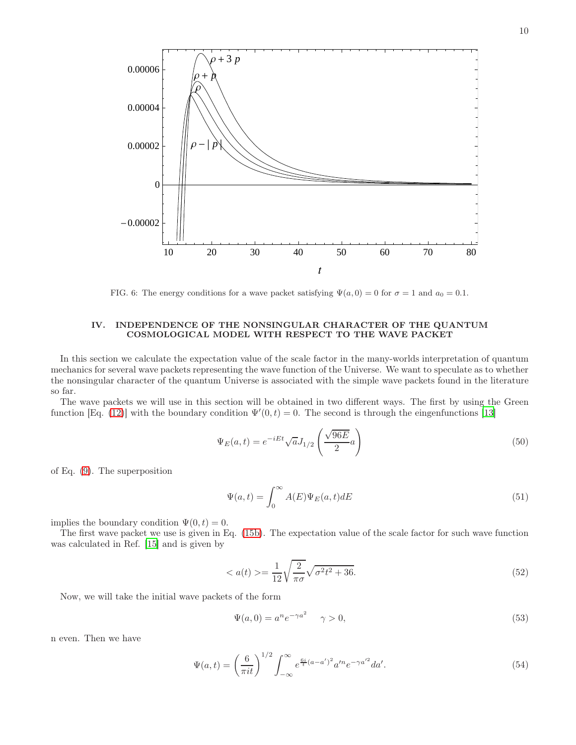

<span id="page-9-1"></span>FIG. 6: The energy conditions for a wave packet satisfying  $\Psi(a, 0) = 0$  for  $\sigma = 1$  and  $a_0 = 0.1$ .

# <span id="page-9-0"></span>IV. INDEPENDENCE OF THE NONSINGULAR CHARACTER OF THE QUANTUM COSMOLOGICAL MODEL WITH RESPECT TO THE WAVE PACKET

In this section we calculate the expectation value of the scale factor in the many-worlds interpretation of quantum mechanics for several wave packets representing the wave function of the Universe. We want to speculate as to whether the nonsingular character of the quantum Universe is associated with the simple wave packets found in the literature so far.

The wave packets we will use in this section will be obtained in two different ways. The first by using the Green function [Eq. [\(12\)](#page-2-4)] with the boundary condition  $\Psi'(0,t) = 0$ . The second is through the eingenfunctions [\[13\]](#page-13-13)

<span id="page-9-3"></span>
$$
\Psi_E(a,t) = e^{-iEt} \sqrt{a} J_{1/2} \left( \frac{\sqrt{96E}}{2} a \right)
$$
\n(50)

of Eq. [\(9\)](#page-1-2). The superposition

<span id="page-9-2"></span>
$$
\Psi(a,t) = \int_0^\infty A(E)\Psi_E(a,t)dE
$$
\n(51)

implies the boundary condition  $\Psi(0, t) = 0$ .

The first wave packet we use is given in Eq. [\(15b\)](#page-2-5). The expectation value of the scale factor for such wave function was calculated in Ref. [\[15\]](#page-13-15) and is given by

$$
\langle a(t) \rangle = \frac{1}{12} \sqrt{\frac{2}{\pi \sigma}} \sqrt{\sigma^2 t^2 + 36}.
$$
\n(52)

Now, we will take the initial wave packets of the form

$$
\Psi(a,0) = a^n e^{-\gamma a^2} \quad \gamma > 0,\tag{53}
$$

n even. Then we have

$$
\Psi(a,t) = \left(\frac{6}{\pi i t}\right)^{1/2} \int_{-\infty}^{\infty} e^{\frac{6i}{t}(a-a')^2} a'^n e^{-\gamma a'^2} da'.
$$
\n(54)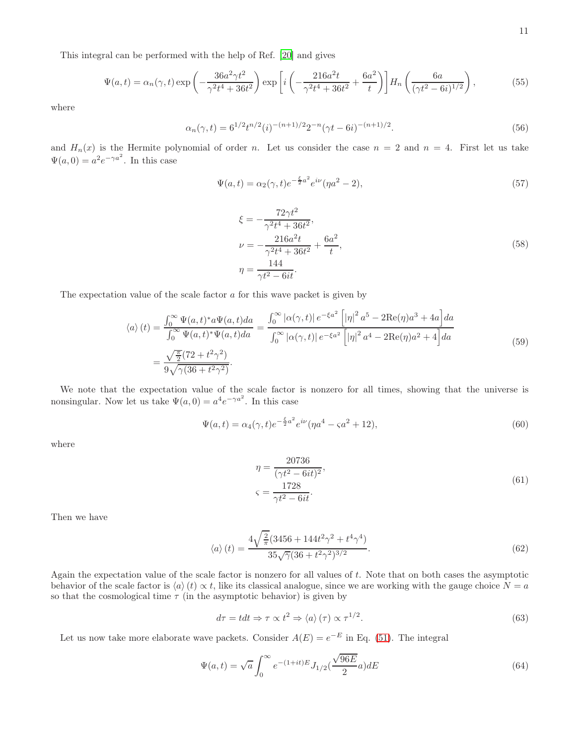This integral can be performed with the help of Ref. [\[20\]](#page-14-1) and gives

$$
\Psi(a,t) = \alpha_n(\gamma, t) \exp\left(-\frac{36a^2 \gamma t^2}{\gamma^2 t^4 + 36t^2}\right) \exp\left[i\left(-\frac{216a^2 t}{\gamma^2 t^4 + 36t^2} + \frac{6a^2}{t}\right)\right] H_n\left(\frac{6a}{(\gamma t^2 - 6i)^{1/2}}\right),\tag{55}
$$

where

$$
\alpha_n(\gamma, t) = 6^{1/2} t^{n/2} (i)^{-(n+1)/2} 2^{-n} (\gamma t - 6i)^{-(n+1)/2}.
$$
\n(56)

and  $H_n(x)$  is the Hermite polynomial of order n. Let us consider the case  $n = 2$  and  $n = 4$ . First let us take  $\Psi(a,0) = a^2 e^{-\gamma a^2}$ . In this case

$$
\Psi(a,t) = \alpha_2(\gamma, t)e^{-\frac{\xi}{2}a^2}e^{i\nu}(\eta a^2 - 2),\tag{57}
$$

$$
\xi = -\frac{72\gamma t^2}{\gamma^2 t^4 + 36t^2},
$$
  
\n
$$
\nu = -\frac{216a^2 t}{\gamma^2 t^4 + 36t^2} + \frac{6a^2}{t},
$$
  
\n
$$
\eta = \frac{144}{\gamma t^2 - 6it}.
$$
\n(58)

The expectation value of the scale factor  $a$  for this wave packet is given by

$$
\langle a \rangle (t) = \frac{\int_0^\infty \Psi(a, t)^* a \Psi(a, t) da}{\int_0^\infty \Psi(a, t)^* \Psi(a, t) da} = \frac{\int_0^\infty |\alpha(\gamma, t)| e^{-\xi a^2} \left[ |\eta|^2 a^5 - 2 \text{Re}(\eta) a^3 + 4a \right] da}{\int_0^\infty |\alpha(\gamma, t)| e^{-\xi a^2} \left[ |\eta|^2 a^4 - 2 \text{Re}(\eta) a^2 + 4 \right] da}
$$
\n
$$
= \frac{\sqrt{\frac{\pi}{2}} (72 + t^2 \gamma^2)}{9 \sqrt{\gamma (36 + t^2 \gamma^2)}}.
$$
\n(59)

We note that the expectation value of the scale factor is nonzero for all times, showing that the universe is nonsingular. Now let us take  $\Psi(a,0) = a^4 e^{-\gamma a^2}$ . In this case

$$
\Psi(a,t) = \alpha_4(\gamma,t)e^{-\frac{\xi}{2}a^2}e^{i\nu}(\eta a^4 - \zeta a^2 + 12),\tag{60}
$$

where

$$
\eta = \frac{20736}{(\gamma t^2 - 6it)^2},
$$
  

$$
\zeta = \frac{1728}{\gamma t^2 - 6it}.
$$
 (61)

Then we have

$$
\langle a \rangle (t) = \frac{4\sqrt{\frac{2}{\pi}} (3456 + 144t^2 \gamma^2 + t^4 \gamma^4)}{35\sqrt{\gamma} (36 + t^2 \gamma^2)^{3/2}}.
$$
\n(62)

Again the expectation value of the scale factor is nonzero for all values of t. Note that on both cases the asymptotic behavior of the scale factor is  $\langle a \rangle(t) \propto t$ , like its classical analogue, since we are working with the gauge choice  $N = a$ so that the cosmological time  $\tau$  (in the asymptotic behavior) is given by

$$
d\tau = t dt \Rightarrow \tau \propto t^2 \Rightarrow \langle a \rangle (\tau) \propto \tau^{1/2}.
$$
\n(63)

Let us now take more elaborate wave packets. Consider  $A(E) = e^{-E}$  in Eq. [\(51\)](#page-9-2). The integral

$$
\Psi(a,t) = \sqrt{a} \int_0^\infty e^{-(1+it)E} J_{1/2}(\frac{\sqrt{96E}}{2}a) dE
$$
\n(64)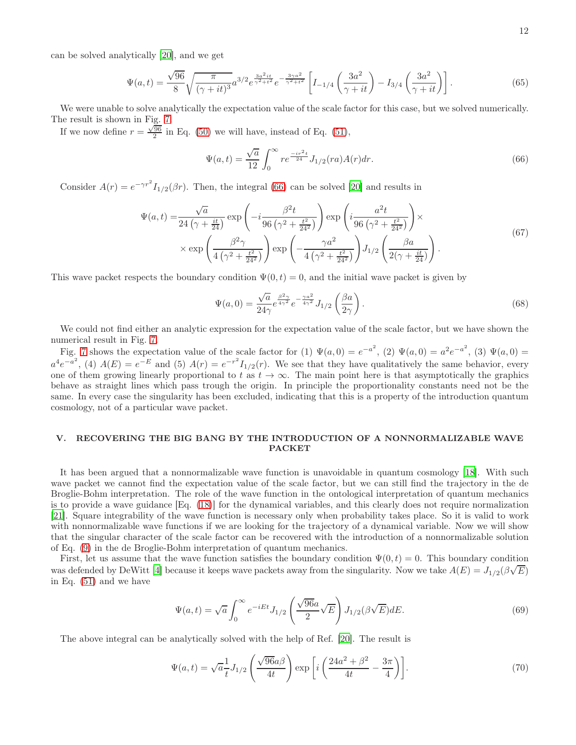can be solved analytically [\[20](#page-14-1)], and we get

$$
\Psi(a,t) = \frac{\sqrt{96}}{8} \sqrt{\frac{\pi}{(\gamma + it)^3}} a^{3/2} e^{\frac{3a^2it}{\gamma^2 + t^2}} e^{-\frac{3\gamma a^2}{\gamma^2 + t^2}} \left[ I_{-1/4} \left( \frac{3a^2}{\gamma + it} \right) - I_{3/4} \left( \frac{3a^2}{\gamma + it} \right) \right].
$$
\n(65)

We were unable to solve analytically the expectation value of the scale factor for this case, but we solved numerically. The result is shown in Fig. [7.](#page-12-0)

If we now define  $r = \frac{\sqrt{96}}{2}$  in Eq. [\(50\)](#page-9-3) we will have, instead of Eq. [\(51\)](#page-9-2),

<span id="page-11-1"></span>
$$
\Psi(a,t) = \frac{\sqrt{a}}{12} \int_0^\infty r e^{\frac{-ir^2t}{24}} J_{1/2}(ra)A(r) dr.
$$
\n(66)

Consider  $A(r) = e^{-\gamma r^2} I_{1/2}(\beta r)$ . Then, the integral [\(66\)](#page-11-1) can be solved [\[20](#page-14-1)] and results in

$$
\Psi(a,t) = \frac{\sqrt{a}}{24\left(\gamma + \frac{it}{24}\right)} \exp\left(-i\frac{\beta^2 t}{96\left(\gamma^2 + \frac{t^2}{24^2}\right)}\right) \exp\left(i\frac{a^2 t}{96\left(\gamma^2 + \frac{t^2}{24^2}\right)}\right) \times \exp\left(\frac{\beta^2 \gamma}{4\left(\gamma^2 + \frac{t^2}{24^2}\right)}\right) \exp\left(-\frac{\gamma a^2}{4\left(\gamma^2 + \frac{t^2}{24^2}\right)}\right) J_{1/2}\left(\frac{\beta a}{2\left(\gamma + \frac{it}{24}\right)}\right).
$$
\n(67)

This wave packet respects the boundary condition  $\Psi(0, t) = 0$ , and the initial wave packet is given by

$$
\Psi(a,0) = \frac{\sqrt{a}}{24\gamma} e^{\frac{\beta^2\gamma}{4\gamma^2}} e^{-\frac{\gamma a^2}{4\gamma^2}} J_{1/2} \left(\frac{\beta a}{2\gamma}\right). \tag{68}
$$

We could not find either an analytic expression for the expectation value of the scale factor, but we have shown the numerical result in Fig. [7.](#page-12-0)

Fig. [7](#page-12-0) shows the expectation value of the scale factor for (1)  $\Psi(a,0) = e^{-a^2}$ , (2)  $\Psi(a,0) = a^2 e^{-a^2}$ , (3)  $\Psi(a,0) =$  $a^4e^{-a^2}$ , (4)  $A(E) = e^{-E}$  and (5)  $A(r) = e^{-r^2}I_{1/2}(r)$ . We see that they have qualitatively the same behavior, every one of them growing linearly proportional to t as  $t \to \infty$ . The main point here is that asymptotically the graphics behave as straight lines which pass trough the origin. In principle the proportionality constants need not be the same. In every case the singularity has been excluded, indicating that this is a property of the introduction quantum cosmology, not of a particular wave packet.

# <span id="page-11-0"></span>V. RECOVERING THE BIG BANG BY THE INTRODUCTION OF A NONNORMALIZABLE WAVE **PACKET**

It has been argued that a nonnormalizable wave function is unavoidable in quantum cosmology [\[18\]](#page-14-2). With such wave packet we cannot find the expectation value of the scale factor, but we can still find the trajectory in the de Broglie-Bohm interpretation. The role of the wave function in the ontological interpretation of quantum mechanics is to provide a wave guidance [Eq. [\(18\)](#page-3-1)] for the dynamical variables, and this clearly does not require normalization [\[21\]](#page-14-3). Square integrability of the wave function is necessary only when probability takes place. So it is valid to work with nonnormalizable wave functions if we are looking for the trajectory of a dynamical variable. Now we will show that the singular character of the scale factor can be recovered with the introduction of a nonnormalizable solution of Eq. [\(9\)](#page-1-2) in the de Broglie-Bohm interpretation of quantum mechanics.

First, let us assume that the wave function satisfies the boundary condition  $\Psi(0, t) = 0$ . This boundary condition was defended by DeWitt [\[4\]](#page-13-3) because it keeps wave packets away from the singularity. Now we take  $A(E) = J_{1/2}(\beta \sqrt{E})$ in Eq. [\(51\)](#page-9-2) and we have

$$
\Psi(a,t) = \sqrt{a} \int_0^\infty e^{-iEt} J_{1/2} \left( \frac{\sqrt{96}a}{2} \sqrt{E} \right) J_{1/2}(\beta \sqrt{E}) dE.
$$
\n(69)

The above integral can be analytically solved with the help of Ref. [\[20\]](#page-14-1). The result is

$$
\Psi(a,t) = \sqrt{a} \frac{1}{t} J_{1/2} \left( \frac{\sqrt{96}a\beta}{4t} \right) \exp\left[i \left( \frac{24a^2 + \beta^2}{4t} - \frac{3\pi}{4} \right) \right]. \tag{70}
$$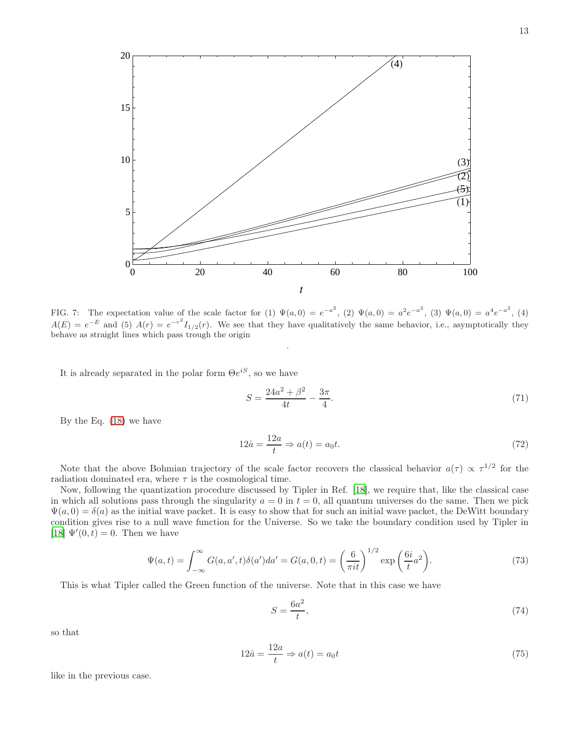

<span id="page-12-0"></span>FIG. 7: The expectation value of the scale factor for (1)  $\Psi(a,0) = e^{-a^2}$ , (2)  $\Psi(a,0) = a^2 e^{-a^2}$ , (3)  $\Psi(a,0) = a^4 e^{-a^2}$ , (4)  $A(E) = e^{-E}$  and (5)  $A(r) = e^{-r^2} I_{1/2}(r)$ . We see that they have qualitatively the same behavior, i.e., asymptotically they behave as straight lines which pass trough the origin

.

It is already separated in the polar form  $\Theta e^{iS}$ , so we have

$$
S = \frac{24a^2 + \beta^2}{4t} - \frac{3\pi}{4}.\tag{71}
$$

By the Eq. [\(18\)](#page-3-1) we have

$$
12\dot{a} = \frac{12a}{t} \Rightarrow a(t) = a_0 t. \tag{72}
$$

Note that the above Bohmian trajectory of the scale factor recovers the classical behavior  $a(\tau) \propto \tau^{1/2}$  for the radiation dominated era, where  $\tau$  is the cosmological time.

Now, following the quantization procedure discussed by Tipler in Ref. [\[18\]](#page-14-2), we require that, like the classical case in which all solutions pass through the singularity  $a = 0$  in  $t = 0$ , all quantum universes do the same. Then we pick  $\Psi(a, 0) = \delta(a)$  as the initial wave packet. It is easy to show that for such an initial wave packet, the DeWitt boundary condition gives rise to a null wave function for the Universe. So we take the boundary condition used by Tipler in [\[18\]](#page-14-2)  $\Psi'(0,t) = 0$ . Then we have

$$
\Psi(a,t) = \int_{-\infty}^{\infty} G(a,a',t)\delta(a')da' = G(a,0,t) = \left(\frac{6}{\pi it}\right)^{1/2} \exp\left(\frac{6i}{t}a^2\right).
$$
\n(73)

This is what Tipler called the Green function of the universe. Note that in this case we have

$$
S = \frac{6a^2}{t},\tag{74}
$$

so that

$$
12\dot{a} = \frac{12a}{t} \Rightarrow a(t) = a_0 t \tag{75}
$$

like in the previous case.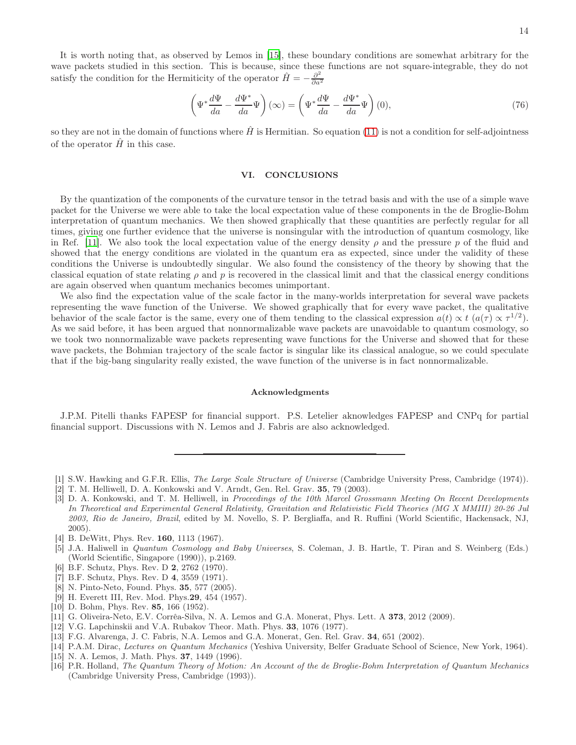It is worth noting that, as observed by Lemos in [\[15\]](#page-13-15), these boundary conditions are somewhat arbitrary for the wave packets studied in this section. This is because, since these functions are not square-integrable, they do not satisfy the condition for the Hermiticity of the operator  $\hat{H} = -\frac{\partial^2}{\partial a^2}$ ∂a<sup>2</sup>

$$
\left(\Psi^* \frac{d\Psi}{da} - \frac{d\Psi^*}{da}\Psi\right)(\infty) = \left(\Psi^* \frac{d\Psi}{da} - \frac{d\Psi^*}{da}\Psi\right)(0),\tag{76}
$$

so they are not in the domain of functions where  $\hat{H}$  is Hermitian. So equation [\(11\)](#page-2-3) is not a condition for self-adjointness of the operator  $\hat{H}$  in this case.

#### <span id="page-13-11"></span>VI. CONCLUSIONS

By the quantization of the components of the curvature tensor in the tetrad basis and with the use of a simple wave packet for the Universe we were able to take the local expectation value of these components in the de Broglie-Bohm interpretation of quantum mechanics. We then showed graphically that these quantities are perfectly regular for all times, giving one further evidence that the universe is nonsingular with the introduction of quantum cosmology, like in Ref. [\[11](#page-13-10)]. We also took the local expectation value of the energy density  $\rho$  and the pressure p of the fluid and showed that the energy conditions are violated in the quantum era as expected, since under the validity of these conditions the Universe is undoubtedly singular. We also found the consistency of the theory by showing that the classical equation of state relating  $\rho$  and  $p$  is recovered in the classical limit and that the classical energy conditions are again observed when quantum mechanics becomes unimportant.

We also find the expectation value of the scale factor in the many-worlds interpretation for several wave packets representing the wave function of the Universe. We showed graphically that for every wave packet, the qualitative behavior of the scale factor is the same, every one of them tending to the classical expression  $a(t) \propto t$   $(a(\tau) \propto \tau^{1/2})$ . As we said before, it has been argued that nonnormalizable wave packets are unavoidable to quantum cosmology, so we took two nonnormalizable wave packets representing wave functions for the Universe and showed that for these wave packets, the Bohmian trajectory of the scale factor is singular like its classical analogue, so we could speculate that if the big-bang singularity really existed, the wave function of the universe is in fact nonnormalizable.

#### Acknowledgments

J.P.M. Pitelli thanks FAPESP for financial support. P.S. Letelier aknowledges FAPESP and CNPq for partial financial support. Discussions with N. Lemos and J. Fabris are also acknowledged.

- <span id="page-13-0"></span>[1] S.W. Hawking and G.F.R. Ellis, The Large Scale Structure of Universe (Cambridge University Press, Cambridge (1974)).
- <span id="page-13-1"></span>[2] T. M. Helliwell, D. A. Konkowski and V. Arndt, Gen. Rel. Grav. 35, 79 (2003).
- <span id="page-13-2"></span>[3] D. A. Konkowski, and T. M. Helliwell, in Proceedings of the 10th Marcel Grossmann Meeting On Recent Developments In Theoretical and Experimental General Relativity, Gravitation and Relativistic Field Theories (MG X MMIII) 20-26 Jul 2003, Rio de Janeiro, Brazil, edited by M. Novello, S. P. Bergliaffa, and R. Ruffini (World Scientific, Hackensack, NJ, 2005).
- <span id="page-13-3"></span>[4] B. DeWitt, Phys. Rev. 160, 1113 (1967).
- <span id="page-13-4"></span>[5] J.A. Haliwell in Quantum Cosmology and Baby Universes, S. Coleman, J. B. Hartle, T. Piran and S. Weinberg (Eds.) (World Scientific, Singapore (1990)), p.2169.
- <span id="page-13-5"></span>[6] B.F. Schutz, Phys. Rev. D 2, 2762 (1970).
- <span id="page-13-6"></span>[7] B.F. Schutz, Phys. Rev. D 4, 3559 (1971).
- <span id="page-13-7"></span>[8] N. Pinto-Neto, Found. Phys. 35, 577 (2005).
- <span id="page-13-8"></span>[9] H. Everett III, Rev. Mod. Phys.29, 454 (1957).
- <span id="page-13-9"></span>[10] D. Bohm, Phys. Rev. 85, 166 (1952).
- <span id="page-13-10"></span>[11] G. Oliveira-Neto, E.V. Corrêa-Silva, N. A. Lemos and G.A. Monerat, Phys. Lett. A 373, 2012 (2009).
- <span id="page-13-12"></span>[12] V.G. Lapchinskii and V.A. Rubakov Theor. Math. Phys. 33, 1076 (1977).
- <span id="page-13-13"></span>[13] F.G. Alvarenga, J. C. Fabris, N.A. Lemos and G.A. Monerat, Gen. Rel. Grav. 34, 651 (2002).
- <span id="page-13-14"></span>[14] P.A.M. Dirac, Lectures on Quantum Mechanics (Yeshiva University, Belfer Graduate School of Science, New York, 1964). [15] N. A. Lemos, J. Math. Phys. 37, 1449 (1996).
- <span id="page-13-16"></span><span id="page-13-15"></span>[16] P.R. Holland, The Quantum Theory of Motion: An Account of the de Broglie-Bohm Interpretation of Quantum Mechanics (Cambridge University Press, Cambridge (1993)).